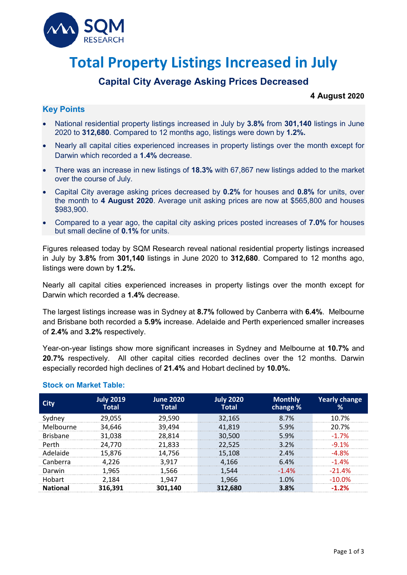

# **Total Property Listings Increased in July**

## **Capital City Average Asking Prices Decreased**

#### **4 August 2020**

### **Key Points**

- National residential property listings increased in July by **3.8%** from **301,140** listings in June 2020 to **312,680**. Compared to 12 months ago, listings were down by **1.2%.**
- Nearly all capital cities experienced increases in property listings over the month except for Darwin which recorded a **1.4%** decrease.
- There was an increase in new listings of **18.3%** with 67,867 new listings added to the market over the course of July.
- Capital City average asking prices decreased by **0.2%** for houses and **0.8%** for units, over the month to **4 August 2020**. Average unit asking prices are now at \$565,800 and houses \$983,900.
- Compared to a year ago, the capital city asking prices posted increases of **7.0%** for houses but small decline of **0.1%** for units.

Figures released today by SQM Research reveal national residential property listings increased in July by **3.8%** from **301,140** listings in June 2020 to **312,680**. Compared to 12 months ago, listings were down by **1.2%.**

Nearly all capital cities experienced increases in property listings over the month except for Darwin which recorded a **1.4%** decrease.

The largest listings increase was in Sydney at **8.7%** followed by Canberra with **6.4%**. Melbourne and Brisbane both recorded a **5.9%** increase. Adelaide and Perth experienced smaller increases of **2.4%** and **3.2%** respectively.

Year-on-year listings show more significant increases in Sydney and Melbourne at **10.7%** and **20.7%** respectively. All other capital cities recorded declines over the 12 months. Darwin especially recorded high declines of **21.4%** and Hobart declined by **10.0%.**

|                 | <b>July 2019</b><br><b>Total</b> | <b>June 2020</b><br><b>Total</b> | <b>July 2020</b><br><b>Total</b> | <b>Monthly</b><br>change % | <b>Yearly change</b> |
|-----------------|----------------------------------|----------------------------------|----------------------------------|----------------------------|----------------------|
| svdnev          | 29,055                           | 29,590                           | 32,165                           | 8.7%                       | 1በ 7%                |
| Melbourne       | 34,646                           | 39,494                           | 41.819                           | 5.9%                       | 20.7%                |
| <b>Brishane</b> | 31,038                           | 28,814                           | 30,500                           | 5.9%                       | $-1.7%$              |
| Perth           | 24,770                           | 21,833                           | 22.525                           | $3.2\%$                    | -9 1%                |
| Adelaide        | 15,876                           | 14,756                           | 15,108                           | 2.4%                       | 8%                   |
| Canberra        | 4.226                            | 3.917                            | 4.166                            | 6.4%                       | $-1.4\%$             |
| Darwin          | 1.965                            | 1.566                            | 1.544                            | $-1.4\%$                   | $-21.4%$             |
| Hohart          | 2.184                            | 1.947                            | 1.966                            | 1 በ%                       | -1በ በ%               |
|                 | 316,391                          | 301.140                          | 312,680                          | 3.8%                       |                      |

#### **Stock on Market Table:**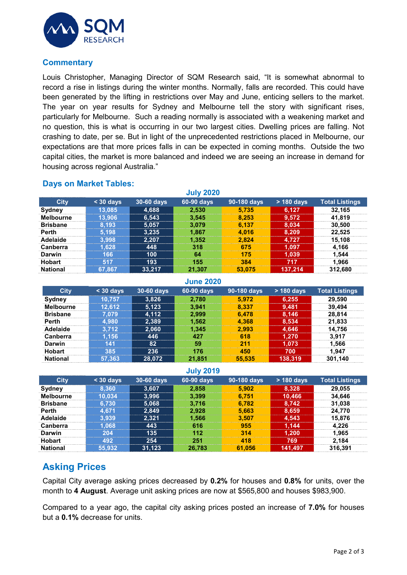

#### **Commentary**

Louis Christopher, Managing Director of SQM Research said, "It is somewhat abnormal to record a rise in listings during the winter months. Normally, falls are recorded. This could have been generated by the lifting in restrictions over May and June, enticing sellers to the market. The year on year results for Sydney and Melbourne tell the story with significant rises, particularly for Melbourne. Such a reading normally is associated with a weakening market and no question, this is what is occurring in our two largest cities. Dwelling prices are falling. Not crashing to date, per se. But in light of the unprecedented restrictions placed in Melbourne, our expectations are that more prices falls in can be expected in coming months. Outside the two capital cities, the market is more balanced and indeed we are seeing an increase in demand for housing across regional Australia."

#### **Days on Market Tables:**

| <b>July 2020</b> |           |            |            |             |            |                       |  |
|------------------|-----------|------------|------------|-------------|------------|-----------------------|--|
| <b>City</b>      | $30$ days | 30-60 days | 60-90 days | 90-180 days | > 180 days | <b>Total Listings</b> |  |
| Sydney           | 13,085    | 4,688      | 2,530      | 5.735       | 6.127      | 32.165                |  |
| <b>Melbourne</b> | 13.906    | 6,543      | 3.545      | 8.253       | 9,572      | 41.819                |  |
| <b>Brisbane</b>  | 8.193     | 5,057      | 3.079      | 6.137       | 8,034      | 30,500                |  |
| <b>Perth</b>     | 5.198     | 3,235      | 1.867      | 4.016       | 8,209      | 22.525                |  |
| Adelaide         | 3.998     | 2.207      | 1.352      | 2.824       | 4.727      | 15,108                |  |
| <b>Canberra</b>  | .628      | 448        | 318        | 675         | 1.097      | 4.166                 |  |
| <b>Darwin</b>    | 166       | 100        | 64         | 175         | 1.039      | 1.544                 |  |
| <b>Hobart</b>    | 517       | 193        | 155        | 384         | 717        | 1.966                 |  |
| <b>National</b>  | 67.867    | 33.217     | 21.307     | 53.075      | 137.214    | 312,680               |  |

| <b>June 2020</b> |                 |            |            |             |              |                       |  |
|------------------|-----------------|------------|------------|-------------|--------------|-----------------------|--|
| <b>City</b>      | $30$ days       | 30-60 days | 60-90 days | 90-180 days | $> 180$ days | <b>Total Listings</b> |  |
| Sydney           | 10.757          | 3,826      | 2.780      | 5.972       | 6,255        | 29.590                |  |
| <b>Melbourne</b> | 12.612          | 5,123      | 3.941      | 8.337       | 9,481        | 39.494                |  |
| <b>Brisbane</b>  | $^{\prime}.079$ | 4.112      | 2.999      | 6.478       | 8,146        | 28.814                |  |
| <b>Perth</b>     | 4.980           | 2,389      | 1.562      | 4.368       | 8,534        | 21,833                |  |
| Adelaide         | 3.712           | 2,060      | 1.345      | 2.993       | 4,646        | 14.756                |  |
| <b>Canberra</b>  | .156            | 446        | 427        | 618         | 1.270        | 3.917                 |  |
| Darwin           | 141             | 82         | 59         | 211         | 1,073        | 1.566                 |  |
| <b>Hobart</b>    | 385             | 236        | 176        | 450         | 700          | 1.947                 |  |
| <b>National</b>  | 57.363          | 28,072     | 21,851     | 55.535      | 138,319      | 301,140               |  |

#### **July 2019**

| <b>City</b>      | $\leq$ 30 days | 30-60 days | 60-90 days | 90-180 days | $>$ 180 days | <b>Total Listings</b> |
|------------------|----------------|------------|------------|-------------|--------------|-----------------------|
| Sydney           | 8.360          | 3.607      | 2,858      | 5.902       | 8,328        | 29,055                |
| <b>Melbourne</b> | 10.034         | 3,996      | 3.399      | 6.751       | 10,466       | 34.646                |
| <b>Brisbane</b>  | 6.730          | 5,068      | 3.716      | 6.782       | 8.742        | 31.038                |
| Perth            | 4 671          | 2,849      | 2.928      | 5.663       | 8,659        | 24.770                |
| Adelaide         | 3.939          | 2.321      | 1.566      | 3.507       | 4.543        | 15,876                |
| Canberra         | .068           | 443        | 616        | 955         | 1,144        | 4.226                 |
| Darwin           | 204            | 135        | 112        | 314         | 1,200        | 1.965                 |
| <b>Hobart</b>    | 492            | 254        | 251        | 418         | 769          | 2.184                 |
| <b>National</b>  | 55,932         | 31,123     | 26.783     | 61.056      | 141,497      | 316.391               |

## **Asking Prices**

Capital City average asking prices decreased by **0.2%** for houses and **0.8%** for units, over the month to **4 August**. Average unit asking prices are now at \$565,800 and houses \$983,900.

Compared to a year ago, the capital city asking prices posted an increase of **7.0%** for houses but a **0.1%** decrease for units.